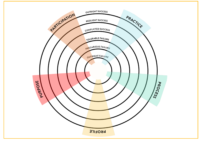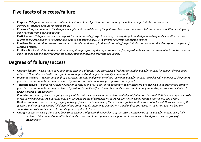## **Five facets of success/failure**

- **Purpose** *This facet relates to the attainment of stated aims, objectives and outcomes of the policy or project*. *It also relates to the delivery of intended benefits for target groups.*
- **Process** *This facet relates to the design and implementation/delivery of the policy/project. It encompasses all of the actions, activities and stages of a policy/project from beginning to end.*
- **Participation** *This facet relates to who participates in the policy/project and how, at every stage from design to delivery and evaluation. It also relates to the development of a sustainable coalition of stakeholders, with different interests but equal influence.*
- **Practice** *This facet relates to the creative and cultural intentions/aspirations of the policy/project. It also relates to its critical reception as a piece of creative practice.*
- **Profile** *This facet relates to the reputation and future prospects of the organisations and/or professionals involved. It also relates to control over the policy agenda and the ability to promote organisational or personal interests and values.*

## **Degrees of failure/success**

- **Outright failure** *even if there have been some elements of success the prevalence of failures resulted in goals/intentions fundamentally not being achieved. Opposition and criticism is great and/or approval and support is virtually non-existent.*
- **Precarious failure** *failures may slightly outweigh successes and few if any of the secondary goals/intentions are achieved. A number of the primary goals/intentions are only partially achieved. Opposition and criticism outweighs approval and support.*
- **Tolerable failure** *failures may slightly outweigh successes and few if any of the secondary goals/intentions are achieved. A number of the primary goals/intentions are only partially achieved. Opposition is small and/or criticism is virtually non-existent but any support/approval may be limited to specific groups of stakeholders.*
- **Conflicted success** *failures are fairly evenly matched with successes and the achievement of goals/intentions is varied. Criticism and approval exists in relatively equal measure but varies between different groups of stakeholders. It proves difficult to avoid repeated controversy and debate.*
- **Resilient success** *successes may slightly outweigh failures and a number of the secondary goals/intentions are not achieved. However, none of the failures significantly impede the fulfillment of the primary goals/intentions. Opposition is small and/or criticism is virtually non-existent but any support/approval may be limited to specific groups of stakeholders.*
- **Outright success** *even if there have been some elements of failure, the prevalence of successes resulted in all of the goals/intentions being fully achieved. Criticism and opposition is virtually non-existent and approval and support is almost universal and from a diverse group of stakeholders.*